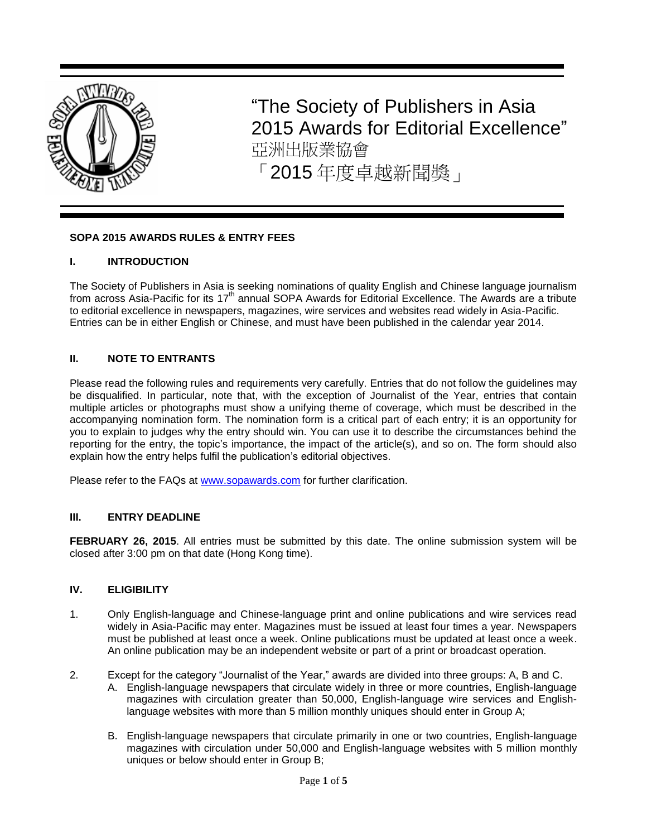

"The Society of Publishers in Asia 2015 Awards for Editorial Excellence" 亞洲出版業協會 「2015 年度卓越新聞獎」

## **SOPA 2015 AWARDS RULES & ENTRY FEES**

## **I. INTRODUCTION**

The Society of Publishers in Asia is seeking nominations of quality English and Chinese language journalism from across Asia-Pacific for its 17<sup>th</sup> annual SOPA Awards for Editorial Excellence. The Awards are a tribute to editorial excellence in newspapers, magazines, wire services and websites read widely in Asia-Pacific. Entries can be in either English or Chinese, and must have been published in the calendar year 2014.

## **II. NOTE TO ENTRANTS**

Please read the following rules and requirements very carefully. Entries that do not follow the guidelines may be disqualified. In particular, note that, with the exception of Journalist of the Year, entries that contain multiple articles or photographs must show a unifying theme of coverage, which must be described in the accompanying nomination form. The nomination form is a critical part of each entry; it is an opportunity for you to explain to judges why the entry should win. You can use it to describe the circumstances behind the reporting for the entry, the topic's importance, the impact of the article(s), and so on. The form should also explain how the entry helps fulfil the publication's editorial objectives.

Please refer to the FAQs at [www.sopawards.com](http://www.sopawards.com/) for further clarification.

#### **III. ENTRY DEADLINE**

**FEBRUARY 26, 2015**. All entries must be submitted by this date. The online submission system will be closed after 3:00 pm on that date (Hong Kong time).

### **IV. ELIGIBILITY**

- 1. Only English-language and Chinese-language print and online publications and wire services read widely in Asia-Pacific may enter. Magazines must be issued at least four times a year. Newspapers must be published at least once a week. Online publications must be updated at least once a week. An online publication may be an independent website or part of a print or broadcast operation.
- 2. Except for the category "Journalist of the Year," awards are divided into three groups: A, B and C.
	- A. English-language newspapers that circulate widely in three or more countries, English-language magazines with circulation greater than 50,000, English-language wire services and Englishlanguage websites with more than 5 million monthly uniques should enter in Group A;
	- B. English-language newspapers that circulate primarily in one or two countries, English-language magazines with circulation under 50,000 and English-language websites with 5 million monthly uniques or below should enter in Group B;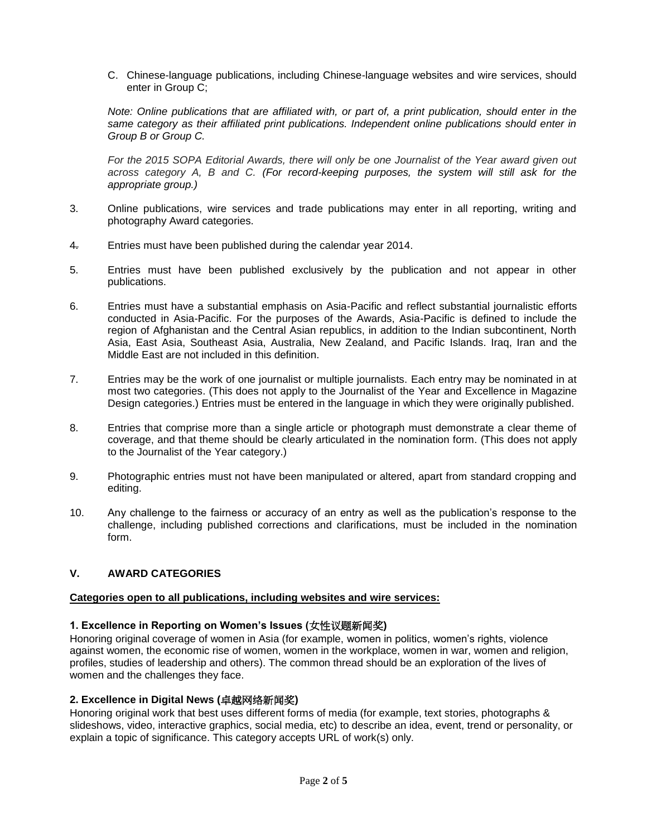C. Chinese-language publications, including Chinese-language websites and wire services, should enter in Group C;

*Note: Online publications that are affiliated with, or part of, a print publication, should enter in the same category as their affiliated print publications. Independent online publications should enter in Group B or Group C.*

*For the 2015 SOPA Editorial Awards, there will only be one Journalist of the Year award given out across category A, B and C. (For record-keeping purposes, the system will still ask for the appropriate group.)*

- 3. Online publications, wire services and trade publications may enter in all reporting, writing and photography Award categories.
- 4. Entries must have been published during the calendar year 2014.
- 5. Entries must have been published exclusively by the publication and not appear in other publications.
- 6. Entries must have a substantial emphasis on Asia-Pacific and reflect substantial journalistic efforts conducted in Asia-Pacific. For the purposes of the Awards, Asia-Pacific is defined to include the region of Afghanistan and the Central Asian republics, in addition to the Indian subcontinent, North Asia, East Asia, Southeast Asia, Australia, New Zealand, and Pacific Islands. Iraq, Iran and the Middle East are not included in this definition.
- 7. Entries may be the work of one journalist or multiple journalists. Each entry may be nominated in at most two categories. (This does not apply to the Journalist of the Year and Excellence in Magazine Design categories.) Entries must be entered in the language in which they were originally published.
- 8. Entries that comprise more than a single article or photograph must demonstrate a clear theme of coverage, and that theme should be clearly articulated in the nomination form. (This does not apply to the Journalist of the Year category.)
- 9. Photographic entries must not have been manipulated or altered, apart from standard cropping and editing.
- 10. Any challenge to the fairness or accuracy of an entry as well as the publication's response to the challenge, including published corrections and clarifications, must be included in the nomination form.

# **V. AWARD CATEGORIES**

#### **Categories open to all publications, including websites and wire services:**

## **1. Excellence in Reporting on Women's Issues (**女性议题新闻奖**)**

Honoring original coverage of women in Asia (for example, women in politics, women's rights, violence against women, the economic rise of women, women in the workplace, women in war, women and religion, profiles, studies of leadership and others). The common thread should be an exploration of the lives of women and the challenges they face.

## **2. Excellence in Digital News (**卓越网络新闻奖**)**

Honoring original work that best uses different forms of media (for example, text stories, photographs & slideshows, video, interactive graphics, social media, etc) to describe an idea, event, trend or personality, or explain a topic of significance. This category accepts URL of work(s) only.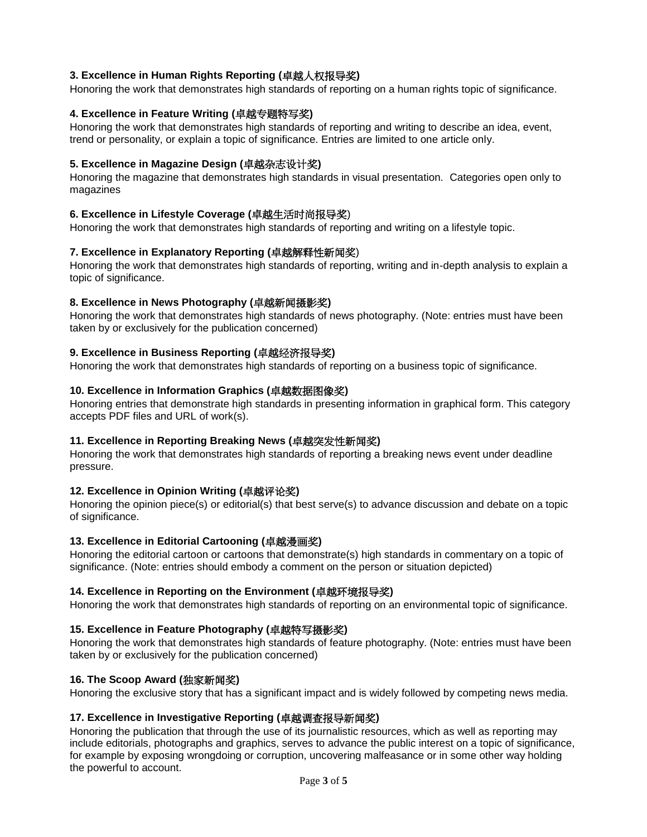# **3. Excellence in Human Rights Reporting (**卓越人权报导奖**)**

Honoring the work that demonstrates high standards of reporting on a human rights topic of significance.

## **4. Excellence in Feature Writing (**卓越专题特写奖**)**

Honoring the work that demonstrates high standards of reporting and writing to describe an idea, event, trend or personality, or explain a topic of significance. Entries are limited to one article only.

## **5. Excellence in Magazine Design (**卓越杂志设计奖**)**

Honoring the magazine that demonstrates high standards in visual presentation. Categories open only to magazines

## **6. Excellence in Lifestyle Coverage (**卓越生活时尚报导奖)

Honoring the work that demonstrates high standards of reporting and writing on a lifestyle topic.

### **7. Excellence in Explanatory Reporting (**卓越解释性新闻奖)

Honoring the work that demonstrates high standards of reporting, writing and in-depth analysis to explain a topic of significance.

### **8. Excellence in News Photography (**卓越新闻摄影奖**)**

Honoring the work that demonstrates high standards of news photography. (Note: entries must have been taken by or exclusively for the publication concerned)

### **9. Excellence in Business Reporting (**卓越经济报导奖**)**

Honoring the work that demonstrates high standards of reporting on a business topic of significance.

### **10. Excellence in Information Graphics (**卓越数据图像奖**)**

Honoring entries that demonstrate high standards in presenting information in graphical form. This category accepts PDF files and URL of work(s).

#### **11. Excellence in Reporting Breaking News (**卓越突发性新闻奖**)**

Honoring the work that demonstrates high standards of reporting a breaking news event under deadline pressure.

### **12. Excellence in Opinion Writing (**卓越评论奖**)**

Honoring the opinion piece(s) or editorial(s) that best serve(s) to advance discussion and debate on a topic of significance.

## **13. Excellence in Editorial Cartooning (**卓越漫画奖**)**

Honoring the editorial cartoon or cartoons that demonstrate(s) high standards in commentary on a topic of significance. (Note: entries should embody a comment on the person or situation depicted)

#### **14. Excellence in Reporting on the Environment (**卓越环境报导奖**)**

Honoring the work that demonstrates high standards of reporting on an environmental topic of significance.

#### **15. Excellence in Feature Photography (**卓越特写摄影奖**)**

Honoring the work that demonstrates high standards of feature photography. (Note: entries must have been taken by or exclusively for the publication concerned)

#### **16. The Scoop Award (**独家新闻奖**)**

Honoring the exclusive story that has a significant impact and is widely followed by competing news media.

#### **17. Excellence in Investigative Reporting (**卓越调查报导新闻奖**)**

Honoring the publication that through the use of its journalistic resources, which as well as reporting may include editorials, photographs and graphics, serves to advance the public interest on a topic of significance, for example by exposing wrongdoing or corruption, uncovering malfeasance or in some other way holding the powerful to account.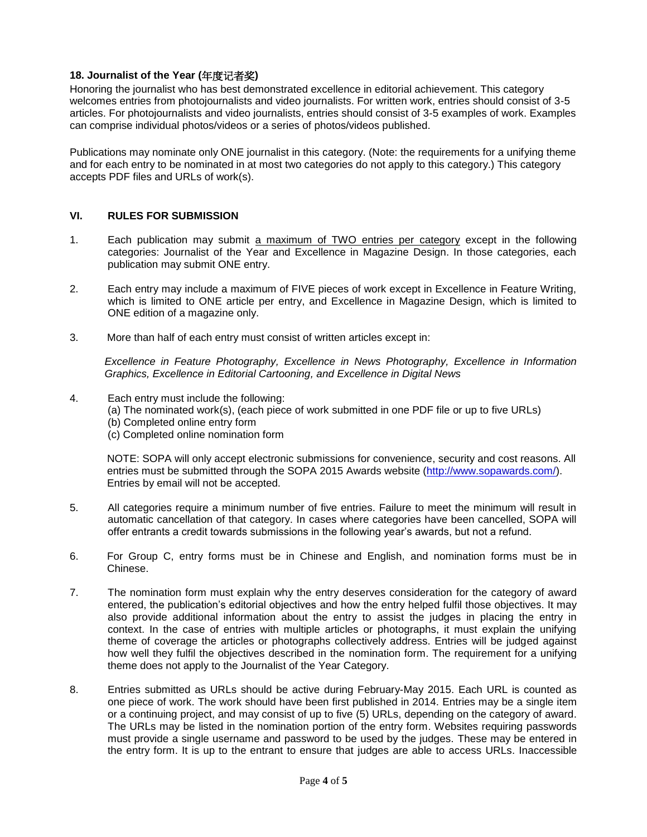## **18. Journalist of the Year (**年度记者奖**)**

Honoring the journalist who has best demonstrated excellence in editorial achievement. This category welcomes entries from photojournalists and video journalists. For written work, entries should consist of 3-5 articles. For photojournalists and video journalists, entries should consist of 3-5 examples of work. Examples can comprise individual photos/videos or a series of photos/videos published.

Publications may nominate only ONE journalist in this category. (Note: the requirements for a unifying theme and for each entry to be nominated in at most two categories do not apply to this category.) This category accepts PDF files and URLs of work(s).

### **VI. RULES FOR SUBMISSION**

- 1. Each publication may submit a maximum of TWO entries per category except in the following categories: Journalist of the Year and Excellence in Magazine Design. In those categories, each publication may submit ONE entry.
- 2. Each entry may include a maximum of FIVE pieces of work except in Excellence in Feature Writing, which is limited to ONE article per entry, and Excellence in Magazine Design, which is limited to ONE edition of a magazine only.
- 3. More than half of each entry must consist of written articles except in:

*Excellence in Feature Photography, Excellence in News Photography, Excellence in Information Graphics, Excellence in Editorial Cartooning, and Excellence in Digital News*

- 4. Each entry must include the following:
	- (a) The nominated work(s), (each piece of work submitted in one PDF file or up to five URLs)
	- (b) Completed online entry form
	- (c) Completed online nomination form

NOTE: SOPA will only accept electronic submissions for convenience, security and cost reasons. All entries must be submitted through the SOPA 2015 Awards website [\(http://www.sopawards.com/\)](http://www.sopawards.com/). Entries by email will not be accepted.

- 5. All categories require a minimum number of five entries. Failure to meet the minimum will result in automatic cancellation of that category. In cases where categories have been cancelled, SOPA will offer entrants a credit towards submissions in the following year's awards, but not a refund.
- 6. For Group C, entry forms must be in Chinese and English, and nomination forms must be in Chinese.
- 7. The nomination form must explain why the entry deserves consideration for the category of award entered, the publication's editorial objectives and how the entry helped fulfil those objectives. It may also provide additional information about the entry to assist the judges in placing the entry in context. In the case of entries with multiple articles or photographs, it must explain the unifying theme of coverage the articles or photographs collectively address. Entries will be judged against how well they fulfil the objectives described in the nomination form. The requirement for a unifying theme does not apply to the Journalist of the Year Category.
- 8. Entries submitted as URLs should be active during February-May 2015. Each URL is counted as one piece of work. The work should have been first published in 2014. Entries may be a single item or a continuing project, and may consist of up to five (5) URLs, depending on the category of award. The URLs may be listed in the nomination portion of the entry form. Websites requiring passwords must provide a single username and password to be used by the judges. These may be entered in the entry form. It is up to the entrant to ensure that judges are able to access URLs. Inaccessible